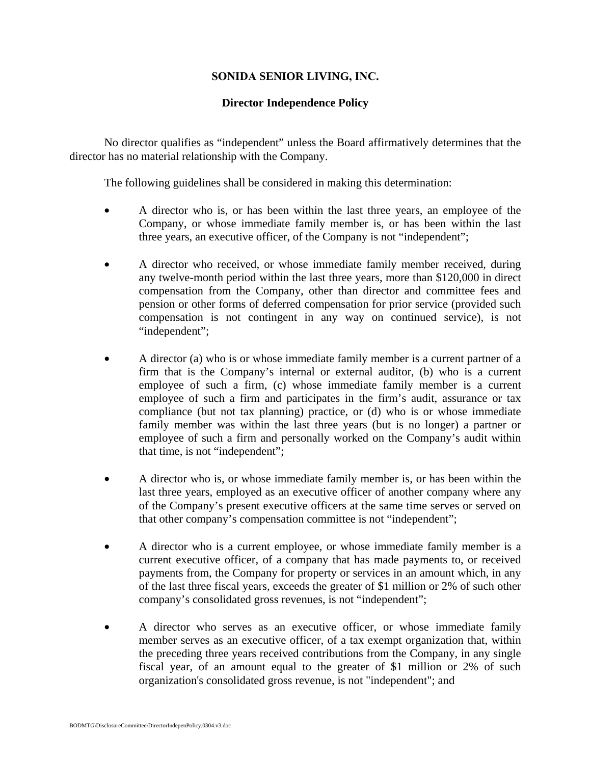## **SONIDA SENIOR LIVING, INC.**

## **Director Independence Policy**

No director qualifies as "independent" unless the Board affirmatively determines that the director has no material relationship with the Company.

The following guidelines shall be considered in making this determination:

- A director who is, or has been within the last three years, an employee of the Company, or whose immediate family member is, or has been within the last three years, an executive officer, of the Company is not "independent";
- A director who received, or whose immediate family member received, during any twelve-month period within the last three years, more than \$120,000 in direct compensation from the Company, other than director and committee fees and pension or other forms of deferred compensation for prior service (provided such compensation is not contingent in any way on continued service), is not "independent";
- A director (a) who is or whose immediate family member is a current partner of a firm that is the Company's internal or external auditor, (b) who is a current employee of such a firm, (c) whose immediate family member is a current employee of such a firm and participates in the firm's audit, assurance or tax compliance (but not tax planning) practice, or (d) who is or whose immediate family member was within the last three years (but is no longer) a partner or employee of such a firm and personally worked on the Company's audit within that time, is not "independent";
- A director who is, or whose immediate family member is, or has been within the last three years, employed as an executive officer of another company where any of the Company's present executive officers at the same time serves or served on that other company's compensation committee is not "independent";
- A director who is a current employee, or whose immediate family member is a current executive officer, of a company that has made payments to, or received payments from, the Company for property or services in an amount which, in any of the last three fiscal years, exceeds the greater of \$1 million or 2% of such other company's consolidated gross revenues, is not "independent";
- A director who serves as an executive officer, or whose immediate family member serves as an executive officer, of a tax exempt organization that, within the preceding three years received contributions from the Company, in any single fiscal year, of an amount equal to the greater of \$1 million or 2% of such organization's consolidated gross revenue, is not "independent"; and